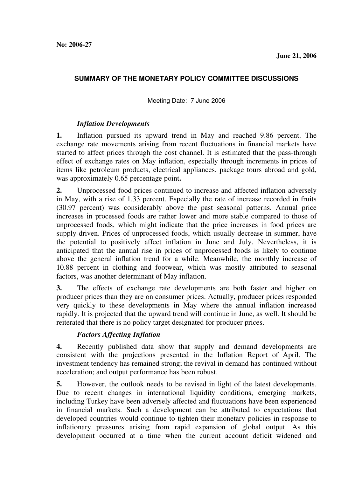#### **SUMMARY OF THE MONETARY POLICY COMMITTEE DISCUSSIONS**

Meeting Date: 7 June 2006

#### *Inflation Developments*

**1.** Inflation pursued its upward trend in May and reached 9.86 percent. The exchange rate movements arising from recent fluctuations in financial markets have started to affect prices through the cost channel. It is estimated that the pass-through effect of exchange rates on May inflation, especially through increments in prices of items like petroleum products, electrical appliances, package tours abroad and gold, was approximately 0.65 percentage point**.** 

**2.** Unprocessed food prices continued to increase and affected inflation adversely in May, with a rise of 1.33 percent. Especially the rate of increase recorded in fruits (30.97 percent) was considerably above the past seasonal patterns. Annual price increases in processed foods are rather lower and more stable compared to those of unprocessed foods, which might indicate that the price increases in food prices are supply-driven. Prices of unprocessed foods, which usually decrease in summer, have the potential to positively affect inflation in June and July. Nevertheless, it is anticipated that the annual rise in prices of unprocessed foods is likely to continue above the general inflation trend for a while. Meanwhile, the monthly increase of 10.88 percent in clothing and footwear, which was mostly attributed to seasonal factors, was another determinant of May inflation.

**3.** The effects of exchange rate developments are both faster and higher on producer prices than they are on consumer prices. Actually, producer prices responded very quickly to these developments in May where the annual inflation increased rapidly. It is projected that the upward trend will continue in June, as well. It should be reiterated that there is no policy target designated for producer prices.

#### *Factors Affecting Inflation*

**4.** Recently published data show that supply and demand developments are consistent with the projections presented in the Inflation Report of April. The investment tendency has remained strong; the revival in demand has continued without acceleration; and output performance has been robust.

**5.** However, the outlook needs to be revised in light of the latest developments. Due to recent changes in international liquidity conditions, emerging markets, including Turkey have been adversely affected and fluctuations have been experienced in financial markets. Such a development can be attributed to expectations that developed countries would continue to tighten their monetary policies in response to inflationary pressures arising from rapid expansion of global output. As this development occurred at a time when the current account deficit widened and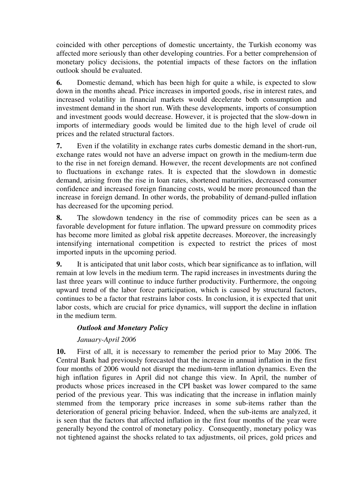coincided with other perceptions of domestic uncertainty, the Turkish economy was affected more seriously than other developing countries. For a better comprehension of monetary policy decisions, the potential impacts of these factors on the inflation outlook should be evaluated.

**6.** Domestic demand, which has been high for quite a while, is expected to slow down in the months ahead. Price increases in imported goods, rise in interest rates, and increased volatility in financial markets would decelerate both consumption and investment demand in the short run. With these developments, imports of consumption and investment goods would decrease. However, it is projected that the slow-down in imports of intermediary goods would be limited due to the high level of crude oil prices and the related structural factors.

**7.** Even if the volatility in exchange rates curbs domestic demand in the short-run, exchange rates would not have an adverse impact on growth in the medium-term due to the rise in net foreign demand. However, the recent developments are not confined to fluctuations in exchange rates. It is expected that the slowdown in domestic demand, arising from the rise in loan rates, shortened maturities, decreased consumer confidence and increased foreign financing costs, would be more pronounced than the increase in foreign demand. In other words, the probability of demand-pulled inflation has decreased for the upcoming period.

**8.** The slowdown tendency in the rise of commodity prices can be seen as a favorable development for future inflation. The upward pressure on commodity prices has become more limited as global risk appetite decreases. Moreover, the increasingly intensifying international competition is expected to restrict the prices of most imported inputs in the upcoming period.

**9.** It is anticipated that unit labor costs, which bear significance as to inflation, will remain at low levels in the medium term. The rapid increases in investments during the last three years will continue to induce further productivity. Furthermore, the ongoing upward trend of the labor force participation, which is caused by structural factors, continues to be a factor that restrains labor costs. In conclusion, it is expected that unit labor costs, which are crucial for price dynamics, will support the decline in inflation in the medium term.

# *Outlook and Monetary Policy*

# *January-April 2006*

**10.** First of all, it is necessary to remember the period prior to May 2006. The Central Bank had previously forecasted that the increase in annual inflation in the first four months of 2006 would not disrupt the medium-term inflation dynamics. Even the high inflation figures in April did not change this view. In April, the number of products whose prices increased in the CPI basket was lower compared to the same period of the previous year. This was indicating that the increase in inflation mainly stemmed from the temporary price increases in some sub-items rather than the deterioration of general pricing behavior. Indeed, when the sub-items are analyzed, it is seen that the factors that affected inflation in the first four months of the year were generally beyond the control of monetary policy. Consequently, monetary policy was not tightened against the shocks related to tax adjustments, oil prices, gold prices and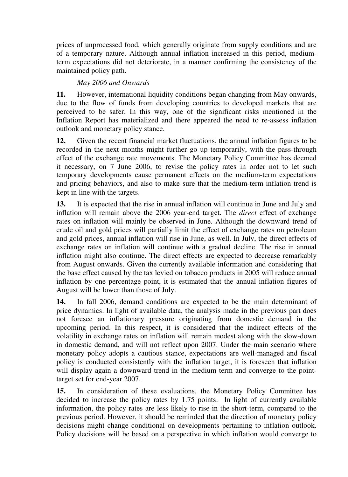prices of unprocessed food, which generally originate from supply conditions and are of a temporary nature. Although annual inflation increased in this period, mediumterm expectations did not deteriorate, in a manner confirming the consistency of the maintained policy path.

# *May 2006 and Onwards*

**11.** However, international liquidity conditions began changing from May onwards, due to the flow of funds from developing countries to developed markets that are perceived to be safer. In this way, one of the significant risks mentioned in the Inflation Report has materialized and there appeared the need to re-assess inflation outlook and monetary policy stance.

**12.** Given the recent financial market fluctuations, the annual inflation figures to be recorded in the next months might further go up temporarily, with the pass-through effect of the exchange rate movements. The Monetary Policy Committee has deemed it necessary, on 7 June 2006, to revise the policy rates in order not to let such temporary developments cause permanent effects on the medium-term expectations and pricing behaviors, and also to make sure that the medium-term inflation trend is kept in line with the targets.

**13.** It is expected that the rise in annual inflation will continue in June and July and inflation will remain above the 2006 year-end target. The *direct* effect of exchange rates on inflation will mainly be observed in June. Although the downward trend of crude oil and gold prices will partially limit the effect of exchange rates on petroleum and gold prices, annual inflation will rise in June, as well. In July, the direct effects of exchange rates on inflation will continue with a gradual decline. The rise in annual inflation might also continue. The direct effects are expected to decrease remarkably from August onwards. Given the currently available information and considering that the base effect caused by the tax levied on tobacco products in 2005 will reduce annual inflation by one percentage point, it is estimated that the annual inflation figures of August will be lower than those of July.

**14.** In fall 2006, demand conditions are expected to be the main determinant of price dynamics. In light of available data, the analysis made in the previous part does not foresee an inflationary pressure originating from domestic demand in the upcoming period. In this respect, it is considered that the indirect effects of the volatility in exchange rates on inflation will remain modest along with the slow-down in domestic demand, and will not reflect upon 2007. Under the main scenario where monetary policy adopts a cautious stance, expectations are well-managed and fiscal policy is conducted consistently with the inflation target, it is foreseen that inflation will display again a downward trend in the medium term and converge to the pointtarget set for end-year 2007.

**15.** In consideration of these evaluations, the Monetary Policy Committee has decided to increase the policy rates by 1.75 points. In light of currently available information, the policy rates are less likely to rise in the short-term, compared to the previous period. However, it should be reminded that the direction of monetary policy decisions might change conditional on developments pertaining to inflation outlook. Policy decisions will be based on a perspective in which inflation would converge to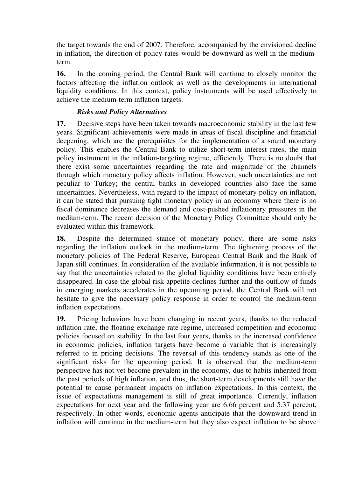the target towards the end of 2007. Therefore, accompanied by the envisioned decline in inflation, the direction of policy rates would be downward as well in the mediumterm.

**16.** In the coming period, the Central Bank will continue to closely monitor the factors affecting the inflation outlook as well as the developments in international liquidity conditions. In this context, policy instruments will be used effectively to achieve the medium-term inflation targets.

### *Risks and Policy Alternatives*

**17.** Decisive steps have been taken towards macroeconomic stability in the last few years. Significant achievements were made in areas of fiscal discipline and financial deepening, which are the prerequisites for the implementation of a sound monetary policy. This enables the Central Bank to utilize short-term interest rates, the main policy instrument in the inflation-targeting regime, efficiently. There is no doubt that there exist some uncertainties regarding the rate and magnitude of the channels through which monetary policy affects inflation. However, such uncertainties are not peculiar to Turkey; the central banks in developed countries also face the same uncertainties. Nevertheless, with regard to the impact of monetary policy on inflation, it can be stated that pursuing tight monetary policy in an economy where there is no fiscal dominance decreases the demand and cost-pushed inflationary pressures in the medium-term. The recent decision of the Monetary Policy Committee should only be evaluated within this framework.

**18.** Despite the determined stance of monetary policy, there are some risks regarding the inflation outlook in the medium-term. The tightening process of the monetary policies of The Federal Reserve, European Central Bank and the Bank of Japan still continues. In consideration of the available information, it is not possible to say that the uncertainties related to the global liquidity conditions have been entirely disappeared. In case the global risk appetite declines further and the outflow of funds in emerging markets accelerates in the upcoming period, the Central Bank will not hesitate to give the necessary policy response in order to control the medium-term inflation expectations.

**19.** Pricing behaviors have been changing in recent years, thanks to the reduced inflation rate, the floating exchange rate regime, increased competition and economic policies focused on stability. In the last four years, thanks to the increased confidence in economic policies, inflation targets have become a variable that is increasingly referred to in pricing decisions. The reversal of this tendency stands as one of the significant risks for the upcoming period. It is observed that the medium-term perspective has not yet become prevalent in the economy, due to habits inherited from the past periods of high inflation, and thus, the short-term developments still have the potential to cause permanent impacts on inflation expectations. In this context, the issue of expectations management is still of great importance. Currently, inflation expectations for next year and the following year are 6.66 percent and 5.37 percent, respectively. In other words, economic agents anticipate that the downward trend in inflation will continue in the medium-term but they also expect inflation to be above